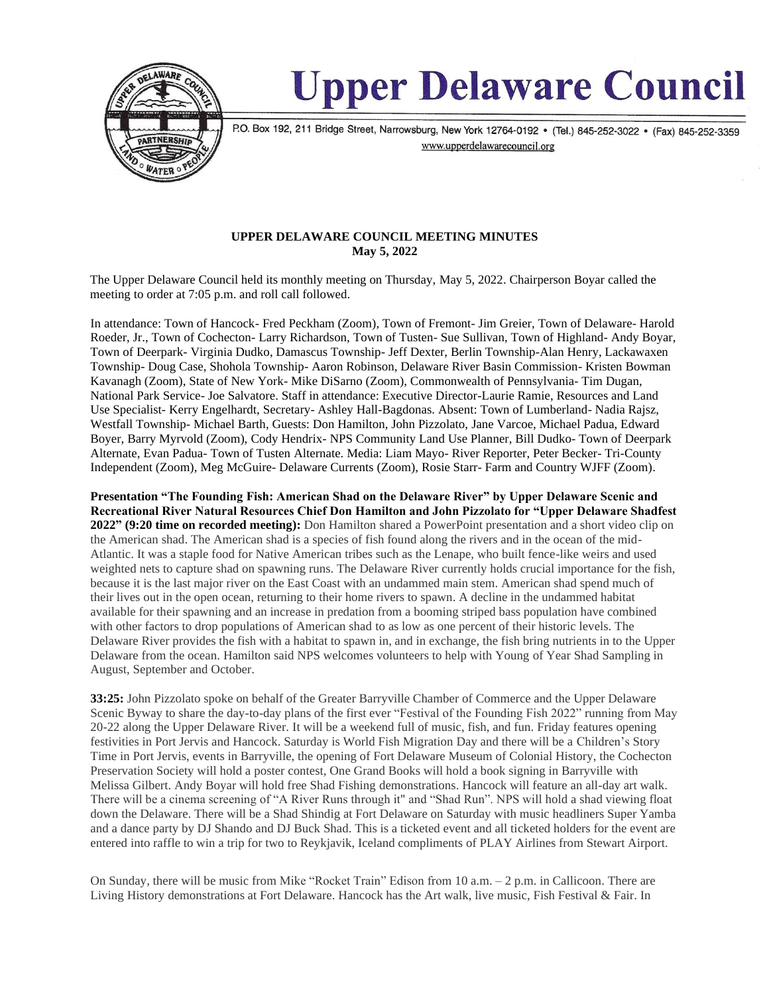

# **Upper Delaware Council**

P.O. Box 192, 211 Bridge Street, Narrowsburg, New York 12764-0192 • (Tel.) 845-252-3022 • (Fax) 845-252-3359 www.upperdelawarecouncil.org

## **UPPER DELAWARE COUNCIL MEETING MINUTES May 5, 2022**

The Upper Delaware Council held its monthly meeting on Thursday, May 5, 2022. Chairperson Boyar called the meeting to order at 7:05 p.m. and roll call followed.

In attendance: Town of Hancock- Fred Peckham (Zoom), Town of Fremont- Jim Greier, Town of Delaware- Harold Roeder, Jr., Town of Cochecton- Larry Richardson, Town of Tusten- Sue Sullivan, Town of Highland- Andy Boyar, Town of Deerpark- Virginia Dudko, Damascus Township- Jeff Dexter, Berlin Township-Alan Henry, Lackawaxen Township- Doug Case, Shohola Township- Aaron Robinson, Delaware River Basin Commission- Kristen Bowman Kavanagh (Zoom), State of New York- Mike DiSarno (Zoom), Commonwealth of Pennsylvania- Tim Dugan, National Park Service- Joe Salvatore. Staff in attendance: Executive Director-Laurie Ramie, Resources and Land Use Specialist- Kerry Engelhardt, Secretary- Ashley Hall-Bagdonas. Absent: Town of Lumberland- Nadia Rajsz, Westfall Township- Michael Barth, Guests: Don Hamilton, John Pizzolato, Jane Varcoe, Michael Padua, Edward Boyer, Barry Myrvold (Zoom), Cody Hendrix- NPS Community Land Use Planner, Bill Dudko- Town of Deerpark Alternate, Evan Padua- Town of Tusten Alternate. Media: Liam Mayo- River Reporter, Peter Becker- Tri-County Independent (Zoom), Meg McGuire- Delaware Currents (Zoom), Rosie Starr- Farm and Country WJFF (Zoom).

**Presentation "The Founding Fish: American Shad on the Delaware River" by Upper Delaware Scenic and Recreational River Natural Resources Chief Don Hamilton and John Pizzolato for "Upper Delaware Shadfest 2022" (9:20 time on recorded meeting):** Don Hamilton shared a PowerPoint presentation and a short video clip on the American shad. The American shad is a species of fish found along the rivers and in the ocean of the mid-Atlantic. It was a staple food for Native American tribes such as the Lenape, who built fence-like weirs and used weighted nets to capture shad on spawning runs. The Delaware River currently holds crucial importance for the fish, because it is the last major river on the East Coast with an undammed main stem. American shad spend much of their lives out in the open ocean, returning to their home rivers to spawn. A decline in the undammed habitat available for their spawning and an increase in predation from a booming striped bass population have combined with other factors to drop populations of American shad to as low as one percent of their historic levels. The Delaware River provides the fish with a habitat to spawn in, and in exchange, the fish bring nutrients in to the Upper Delaware from the ocean. Hamilton said NPS welcomes volunteers to help with Young of Year Shad Sampling in August, September and October.

**33:25:** John Pizzolato spoke on behalf of the Greater Barryville Chamber of Commerce and the Upper Delaware Scenic Byway to share the day-to-day plans of the first ever "Festival of the Founding Fish 2022" running from May 20-22 along the Upper Delaware River. It will be a weekend full of music, fish, and fun. Friday features opening festivities in Port Jervis and Hancock. Saturday is World Fish Migration Day and there will be a Children's Story Time in Port Jervis, events in Barryville, the opening of Fort Delaware Museum of Colonial History, the Cochecton Preservation Society will hold a poster contest, One Grand Books will hold a book signing in Barryville with Melissa Gilbert. Andy Boyar will hold free Shad Fishing demonstrations. Hancock will feature an all-day art walk. There will be a cinema screening of "A River Runs through it" and "Shad Run". NPS will hold a shad viewing float down the Delaware. There will be a Shad Shindig at Fort Delaware on Saturday with music headliners Super Yamba and a dance party by DJ Shando and DJ Buck Shad. This is a ticketed event and all ticketed holders for the event are entered into raffle to win a trip for two to Reykjavik, Iceland compliments of PLAY Airlines from Stewart Airport.

On Sunday, there will be music from Mike "Rocket Train" Edison from 10 a.m. – 2 p.m. in Callicoon. There are Living History demonstrations at Fort Delaware. Hancock has the Art walk, live music, Fish Festival & Fair. In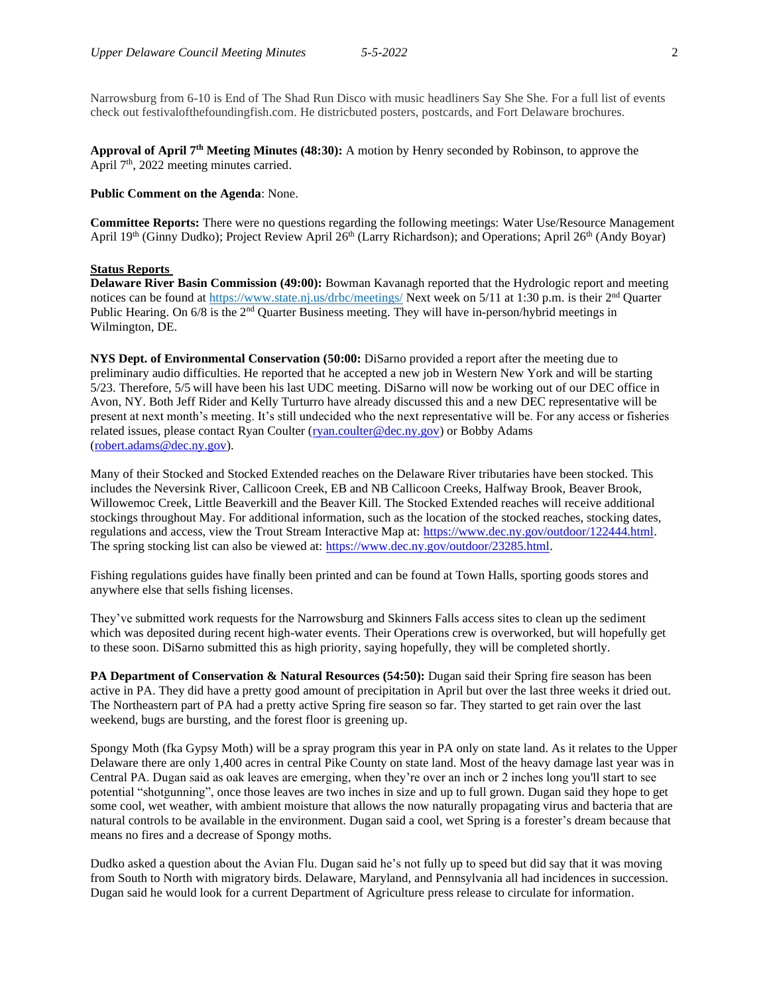Narrowsburg from 6-10 is End of The Shad Run Disco with music headliners Say She She. For a full list of events check out festivalofthefoundingfish.com. He districbuted posters, postcards, and Fort Delaware brochures.

**Approval of April 7 th Meeting Minutes (48:30):** A motion by Henry seconded by Robinson, to approve the April 7<sup>th</sup>, 2022 meeting minutes carried.

## **Public Comment on the Agenda**: None.

**Committee Reports:** There were no questions regarding the following meetings: Water Use/Resource Management April 19<sup>th</sup> (Ginny Dudko); Project Review April 26<sup>th</sup> (Larry Richardson); and Operations; April 26<sup>th</sup> (Andy Boyar)

#### **Status Reports**

**Delaware River Basin Commission (49:00):** Bowman Kavanagh reported that the Hydrologic report and meeting notices can be found a[t https://www.state.nj.us/drbc/meetings/](https://www.state.nj.us/drbc/meetings/) Next week on 5/11 at 1:30 p.m. is their 2<sup>nd</sup> Quarter Public Hearing. On 6/8 is the 2<sup>nd</sup> Quarter Business meeting. They will have in-person/hybrid meetings in Wilmington, DE.

**NYS Dept. of Environmental Conservation (50:00:** DiSarno provided a report after the meeting due to preliminary audio difficulties. He reported that he accepted a new job in Western New York and will be starting 5/23. Therefore, 5/5 will have been his last UDC meeting. DiSarno will now be working out of our DEC office in Avon, NY. Both Jeff Rider and Kelly Turturro have already discussed this and a new DEC representative will be present at next month's meeting. It's still undecided who the next representative will be. For any access or fisheries related issues, please contact Ryan Coulter [\(ryan.coulter@dec.ny.gov\)](mailto:ryan.coulter@dec.ny.gov) or Bobby Adams [\(robert.adams@dec.ny.gov\)](mailto:robert.adams@dec.ny.gov).

Many of their Stocked and Stocked Extended reaches on the Delaware River tributaries have been stocked. This includes the Neversink River, Callicoon Creek, EB and NB Callicoon Creeks, Halfway Brook, Beaver Brook, Willowemoc Creek, Little Beaverkill and the Beaver Kill. The Stocked Extended reaches will receive additional stockings throughout May. For additional information, such as the location of the stocked reaches, stocking dates, regulations and access, view the Trout Stream Interactive Map at: [https://www.dec.ny.gov/outdoor/122444.html.](https://www.dec.ny.gov/outdoor/122444.html) The spring stocking list can also be viewed at: [https://www.dec.ny.gov/outdoor/23285.html.](https://www.dec.ny.gov/outdoor/23285.html)

Fishing regulations guides have finally been printed and can be found at Town Halls, sporting goods stores and anywhere else that sells fishing licenses.

They've submitted work requests for the Narrowsburg and Skinners Falls access sites to clean up the sediment which was deposited during recent high-water events. Their Operations crew is overworked, but will hopefully get to these soon. DiSarno submitted this as high priority, saying hopefully, they will be completed shortly.

**PA Department of Conservation & Natural Resources (54:50):** Dugan said their Spring fire season has been active in PA. They did have a pretty good amount of precipitation in April but over the last three weeks it dried out. The Northeastern part of PA had a pretty active Spring fire season so far. They started to get rain over the last weekend, bugs are bursting, and the forest floor is greening up.

Spongy Moth (fka Gypsy Moth) will be a spray program this year in PA only on state land. As it relates to the Upper Delaware there are only 1,400 acres in central Pike County on state land. Most of the heavy damage last year was in Central PA. Dugan said as oak leaves are emerging, when they're over an inch or 2 inches long you'll start to see potential "shotgunning", once those leaves are two inches in size and up to full grown. Dugan said they hope to get some cool, wet weather, with ambient moisture that allows the now naturally propagating virus and bacteria that are natural controls to be available in the environment. Dugan said a cool, wet Spring is a forester's dream because that means no fires and a decrease of Spongy moths.

Dudko asked a question about the Avian Flu. Dugan said he's not fully up to speed but did say that it was moving from South to North with migratory birds. Delaware, Maryland, and Pennsylvania all had incidences in succession. Dugan said he would look for a current Department of Agriculture press release to circulate for information.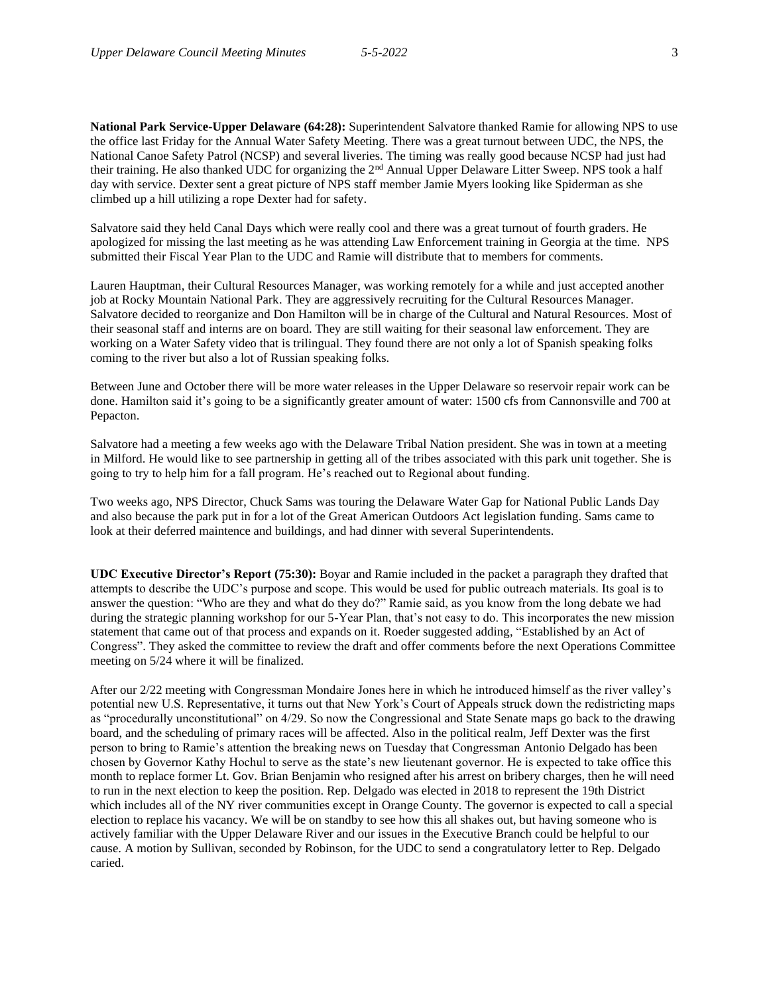**National Park Service-Upper Delaware (64:28):** Superintendent Salvatore thanked Ramie for allowing NPS to use the office last Friday for the Annual Water Safety Meeting. There was a great turnout between UDC, the NPS, the National Canoe Safety Patrol (NCSP) and several liveries. The timing was really good because NCSP had just had their training. He also thanked UDC for organizing the 2<sup>nd</sup> Annual Upper Delaware Litter Sweep. NPS took a half day with service. Dexter sent a great picture of NPS staff member Jamie Myers looking like Spiderman as she climbed up a hill utilizing a rope Dexter had for safety.

Salvatore said they held Canal Days which were really cool and there was a great turnout of fourth graders. He apologized for missing the last meeting as he was attending Law Enforcement training in Georgia at the time. NPS submitted their Fiscal Year Plan to the UDC and Ramie will distribute that to members for comments.

Lauren Hauptman, their Cultural Resources Manager, was working remotely for a while and just accepted another job at Rocky Mountain National Park. They are aggressively recruiting for the Cultural Resources Manager. Salvatore decided to reorganize and Don Hamilton will be in charge of the Cultural and Natural Resources. Most of their seasonal staff and interns are on board. They are still waiting for their seasonal law enforcement. They are working on a Water Safety video that is trilingual. They found there are not only a lot of Spanish speaking folks coming to the river but also a lot of Russian speaking folks.

Between June and October there will be more water releases in the Upper Delaware so reservoir repair work can be done. Hamilton said it's going to be a significantly greater amount of water: 1500 cfs from Cannonsville and 700 at Pepacton.

Salvatore had a meeting a few weeks ago with the Delaware Tribal Nation president. She was in town at a meeting in Milford. He would like to see partnership in getting all of the tribes associated with this park unit together. She is going to try to help him for a fall program. He's reached out to Regional about funding.

Two weeks ago, NPS Director, Chuck Sams was touring the Delaware Water Gap for National Public Lands Day and also because the park put in for a lot of the Great American Outdoors Act legislation funding. Sams came to look at their deferred maintence and buildings, and had dinner with several Superintendents.

**UDC Executive Director's Report (75:30):** Boyar and Ramie included in the packet a paragraph they drafted that attempts to describe the UDC's purpose and scope. This would be used for public outreach materials. Its goal is to answer the question: "Who are they and what do they do?" Ramie said, as you know from the long debate we had during the strategic planning workshop for our 5-Year Plan, that's not easy to do. This incorporates the new mission statement that came out of that process and expands on it. Roeder suggested adding, "Established by an Act of Congress". They asked the committee to review the draft and offer comments before the next Operations Committee meeting on 5/24 where it will be finalized.

After our 2/22 meeting with Congressman Mondaire Jones here in which he introduced himself as the river valley's potential new U.S. Representative, it turns out that New York's Court of Appeals struck down the redistricting maps as "procedurally unconstitutional" on 4/29. So now the Congressional and State Senate maps go back to the drawing board, and the scheduling of primary races will be affected. Also in the political realm, Jeff Dexter was the first person to bring to Ramie's attention the breaking news on Tuesday that Congressman Antonio Delgado has been chosen by Governor Kathy Hochul to serve as the state's new lieutenant governor. He is expected to take office this month to replace former Lt. Gov. Brian Benjamin who resigned after his arrest on bribery charges, then he will need to run in the next election to keep the position. Rep. Delgado was elected in 2018 to represent the 19th District which includes all of the NY river communities except in Orange County. The governor is expected to call a special election to replace his vacancy. We will be on standby to see how this all shakes out, but having someone who is actively familiar with the Upper Delaware River and our issues in the Executive Branch could be helpful to our cause. A motion by Sullivan, seconded by Robinson, for the UDC to send a congratulatory letter to Rep. Delgado caried.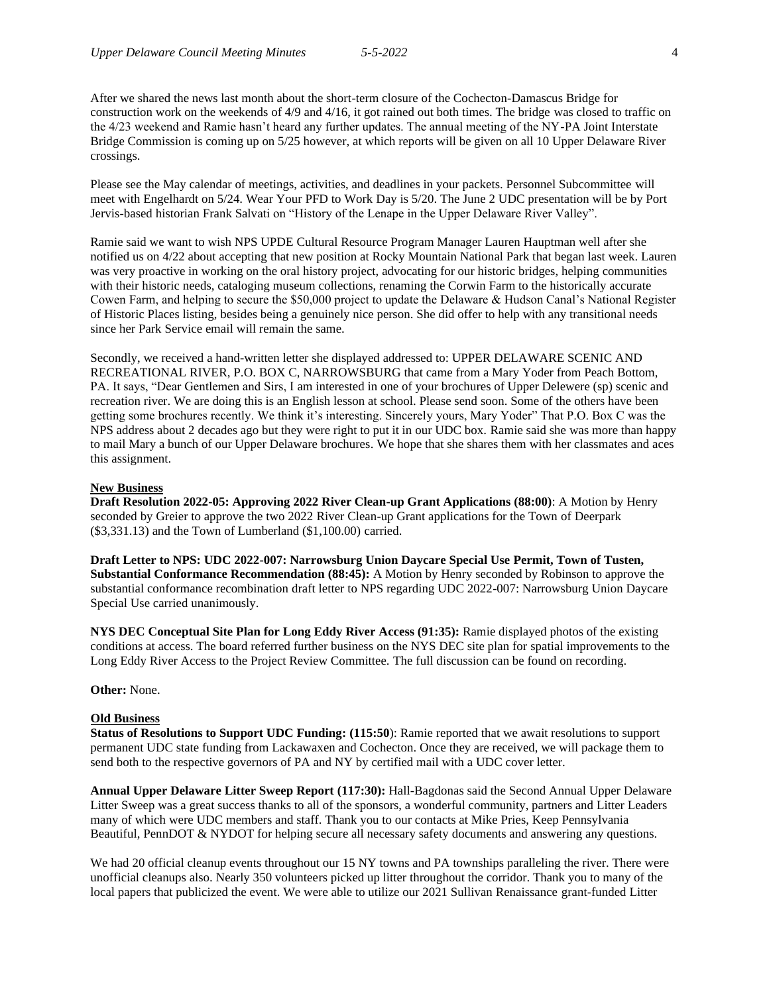After we shared the news last month about the short-term closure of the Cochecton-Damascus Bridge for construction work on the weekends of 4/9 and 4/16, it got rained out both times. The bridge was closed to traffic on the 4/23 weekend and Ramie hasn't heard any further updates. The annual meeting of the NY-PA Joint Interstate Bridge Commission is coming up on 5/25 however, at which reports will be given on all 10 Upper Delaware River crossings.

Please see the May calendar of meetings, activities, and deadlines in your packets. Personnel Subcommittee will meet with Engelhardt on 5/24. Wear Your PFD to Work Day is 5/20. The June 2 UDC presentation will be by Port Jervis-based historian Frank Salvati on "History of the Lenape in the Upper Delaware River Valley".

Ramie said we want to wish NPS UPDE Cultural Resource Program Manager Lauren Hauptman well after she notified us on 4/22 about accepting that new position at Rocky Mountain National Park that began last week. Lauren was very proactive in working on the oral history project, advocating for our historic bridges, helping communities with their historic needs, cataloging museum collections, renaming the Corwin Farm to the historically accurate Cowen Farm, and helping to secure the \$50,000 project to update the Delaware & Hudson Canal's National Register of Historic Places listing, besides being a genuinely nice person. She did offer to help with any transitional needs since her Park Service email will remain the same.

Secondly, we received a hand-written letter she displayed addressed to: UPPER DELAWARE SCENIC AND RECREATIONAL RIVER, P.O. BOX C, NARROWSBURG that came from a Mary Yoder from Peach Bottom, PA. It says, "Dear Gentlemen and Sirs, I am interested in one of your brochures of Upper Delewere (sp) scenic and recreation river. We are doing this is an English lesson at school. Please send soon. Some of the others have been getting some brochures recently. We think it's interesting. Sincerely yours, Mary Yoder" That P.O. Box C was the NPS address about 2 decades ago but they were right to put it in our UDC box. Ramie said she was more than happy to mail Mary a bunch of our Upper Delaware brochures. We hope that she shares them with her classmates and aces this assignment.

#### **New Business**

**Draft Resolution 2022-05: Approving 2022 River Clean-up Grant Applications (88:00)**: A Motion by Henry seconded by Greier to approve the two 2022 River Clean-up Grant applications for the Town of Deerpark (\$3,331.13) and the Town of Lumberland (\$1,100.00) carried.

**Draft Letter to NPS: UDC 2022-007: Narrowsburg Union Daycare Special Use Permit, Town of Tusten, Substantial Conformance Recommendation (88:45):** A Motion by Henry seconded by Robinson to approve the substantial conformance recombination draft letter to NPS regarding UDC 2022-007: Narrowsburg Union Daycare Special Use carried unanimously.

**NYS DEC Conceptual Site Plan for Long Eddy River Access (91:35):** Ramie displayed photos of the existing conditions at access. The board referred further business on the NYS DEC site plan for spatial improvements to the Long Eddy River Access to the Project Review Committee. The full discussion can be found on recording.

**Other:** None.

## **Old Business**

**Status of Resolutions to Support UDC Funding: (115:50**): Ramie reported that we await resolutions to support permanent UDC state funding from Lackawaxen and Cochecton. Once they are received, we will package them to send both to the respective governors of PA and NY by certified mail with a UDC cover letter.

**Annual Upper Delaware Litter Sweep Report (117:30):** Hall-Bagdonas said the Second Annual Upper Delaware Litter Sweep was a great success thanks to all of the sponsors, a wonderful community, partners and Litter Leaders many of which were UDC members and staff. Thank you to our contacts at Mike Pries, Keep Pennsylvania Beautiful, PennDOT & NYDOT for helping secure all necessary safety documents and answering any questions.

We had 20 official cleanup events throughout our 15 NY towns and PA townships paralleling the river. There were unofficial cleanups also. Nearly 350 volunteers picked up litter throughout the corridor. Thank you to many of the local papers that publicized the event. We were able to utilize our 2021 Sullivan Renaissance grant-funded Litter